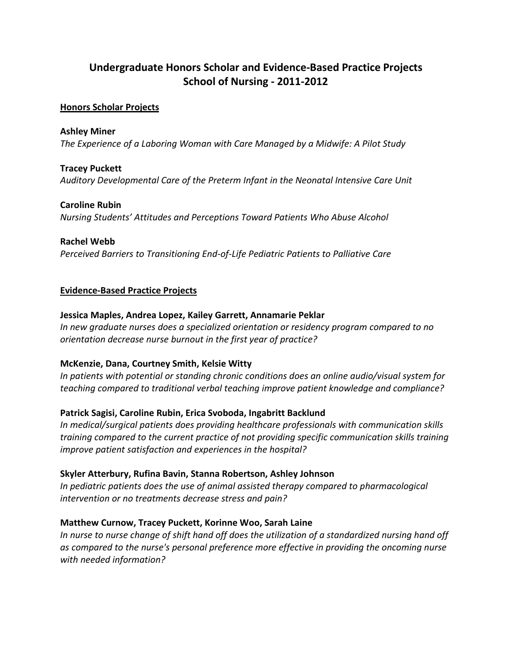# **Undergraduate Honors Scholar and Evidence-Based Practice Projects School of Nursing - 2011-2012**

## **Honors Scholar Projects**

**Ashley Miner** *The Experience of a Laboring Woman with Care Managed by a Midwife: A Pilot Study*

## **Tracey Puckett**

*Auditory Developmental Care of the Preterm Infant in the Neonatal Intensive Care Unit*

## **Caroline Rubin**

*Nursing Students' Attitudes and Perceptions Toward Patients Who Abuse Alcohol*

## **Rachel Webb**

*Perceived Barriers to Transitioning End-of-Life Pediatric Patients to Palliative Care*

## **Evidence-Based Practice Projects**

## **Jessica Maples, Andrea Lopez, Kailey Garrett, Annamarie Peklar**

*In new graduate nurses does a specialized orientation or residency program compared to no orientation decrease nurse burnout in the first year of practice?*

# **McKenzie, Dana, Courtney Smith, Kelsie Witty**

*In patients with potential or standing chronic conditions does an online audio/visual system for teaching compared to traditional verbal teaching improve patient knowledge and compliance?*

# **Patrick Sagisi, Caroline Rubin, Erica Svoboda, Ingabritt Backlund**

*In medical/surgical patients does providing healthcare professionals with communication skills training compared to the current practice of not providing specific communication skills training improve patient satisfaction and experiences in the hospital?*

# **Skyler Atterbury, Rufina Bavin, Stanna Robertson, Ashley Johnson**

*In pediatric patients does the use of animal assisted therapy compared to pharmacological intervention or no treatments decrease stress and pain?*

# **Matthew Curnow, Tracey Puckett, Korinne Woo, Sarah Laine**

*In nurse to nurse change of shift hand off does the utilization of a standardized nursing hand off as compared to the nurse's personal preference more effective in providing the oncoming nurse with needed information?*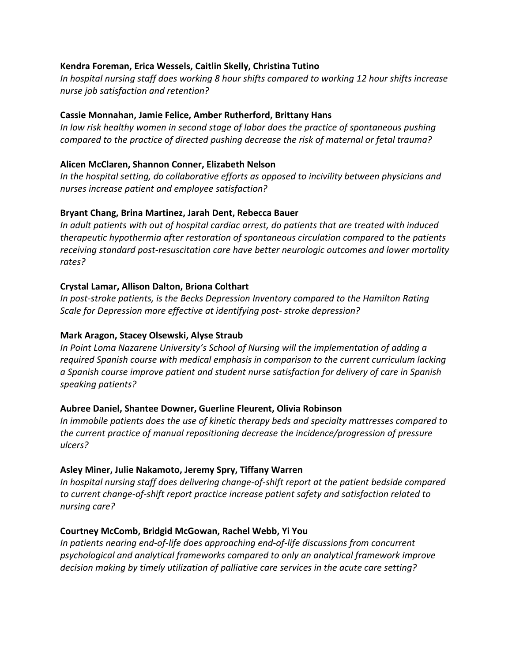## **Kendra Foreman, Erica Wessels, Caitlin Skelly, Christina Tutino**

*In hospital nursing staff does working 8 hour shifts compared to working 12 hour shifts increase nurse job satisfaction and retention?*

## **Cassie Monnahan, Jamie Felice, Amber Rutherford, Brittany Hans**

*In low risk healthy women in second stage of labor does the practice of spontaneous pushing compared to the practice of directed pushing decrease the risk of maternal or fetal trauma?*

## **Alicen McClaren, Shannon Conner, Elizabeth Nelson**

*In the hospital setting, do collaborative efforts as opposed to incivility between physicians and nurses increase patient and employee satisfaction?*

## **Bryant Chang, Brina Martinez, Jarah Dent, Rebecca Bauer**

*In adult patients with out of hospital cardiac arrest, do patients that are treated with induced therapeutic hypothermia after restoration of spontaneous circulation compared to the patients receiving standard post-resuscitation care have better neurologic outcomes and lower mortality rates?*

## **Crystal Lamar, Allison Dalton, Briona Colthart**

*In post-stroke patients, is the Becks Depression Inventory compared to the Hamilton Rating Scale for Depression more effective at identifying post- stroke depression?*

## **Mark Aragon, Stacey Olsewski, Alyse Straub**

*In Point Loma Nazarene University's School of Nursing will the implementation of adding a required Spanish course with medical emphasis in comparison to the current curriculum lacking a Spanish course improve patient and student nurse satisfaction for delivery of care in Spanish speaking patients?*

## **Aubree Daniel, Shantee Downer, Guerline Fleurent, Olivia Robinson**

*In immobile patients does the use of kinetic therapy beds and specialty mattresses compared to the current practice of manual repositioning decrease the incidence/progression of pressure ulcers?*

## **Asley Miner, Julie Nakamoto, Jeremy Spry, Tiffany Warren**

*In hospital nursing staff does delivering change-of-shift report at the patient bedside compared to current change-of-shift report practice increase patient safety and satisfaction related to nursing care?*

## **Courtney McComb, Bridgid McGowan, Rachel Webb, Yi You**

*In patients nearing end-of-life does approaching end-of-life discussions from concurrent psychological and analytical frameworks compared to only an analytical framework improve decision making by timely utilization of palliative care services in the acute care setting?*